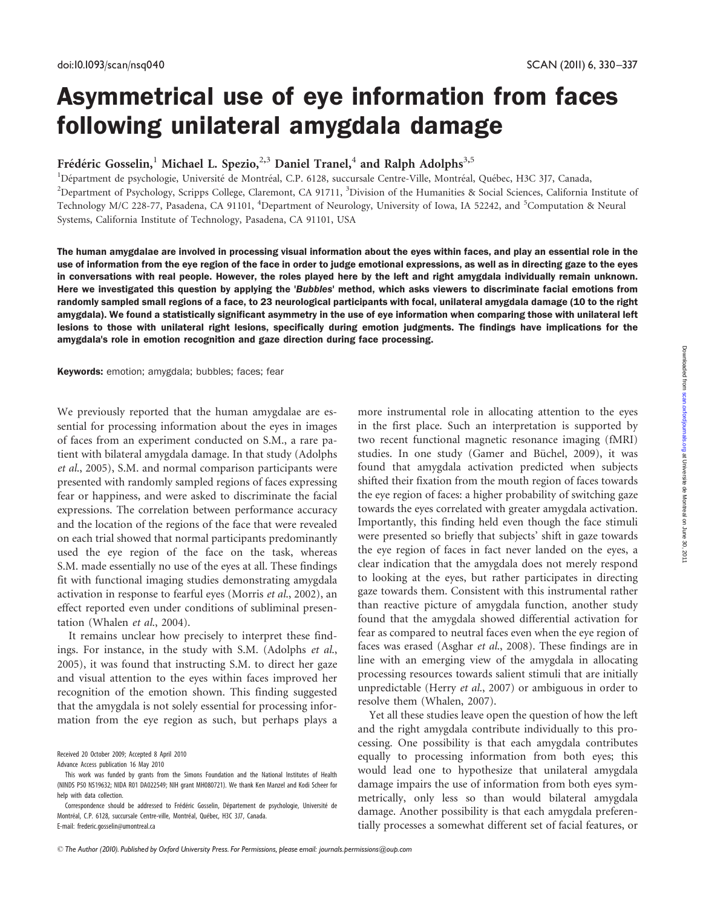# Asymmetrical use of eye information from faces following unilateral amygdala damage

# Frédéric Gosselin,<sup>1</sup> Michael L. Spezio,<sup>2,3</sup> Daniel Tranel,<sup>4</sup> and Ralph Adolphs<sup>3,5</sup>

<sup>1</sup>Départment de psychologie, Université de Montréal, C.P. 6128, succursale Centre-Ville, Montréal, Québec, H3C 3J7, Canada, <sup>2</sup>Department of Psychology, Scripps College, Claremont, CA 91711, <sup>3</sup>Division of the Humanities & Social Sciences, California Institute of Technology M/C 228-77, Pasadena, CA 91101, <sup>4</sup>Department of Neurology, University of Iowa, IA 52242, and <sup>5</sup>Computation & Neural Systems, California Institute of Technology, Pasadena, CA 91101, USA

The human amygdalae are involved in processing visual information about the eyes within faces, and play an essential role in the use of information from the eye region of the face in order to judge emotional expressions, as well as in directing gaze to the eyes in conversations with real people. However, the roles played here by the left and right amygdala individually remain unknown. Here we investigated this question by applying the 'Bubbles' method, which asks viewers to discriminate facial emotions from randomly sampled small regions of a face, to 23 neurological participants with focal, unilateral amygdala damage (10 to the right amygdala). We found a statistically significant asymmetry in the use of eye information when comparing those with unilateral left lesions to those with unilateral right lesions, specifically during emotion judgments. The findings have implications for the amygdala's role in emotion recognition and gaze direction during face processing.

Keywords: emotion; amygdala; bubbles; faces; fear

We previously reported that the human amygdalae are essential for processing information about the eyes in images of faces from an experiment conducted on S.M., a rare patient with bilateral amygdala damage. In that study (Adolphs et al., 2005), S.M. and normal comparison participants were presented with randomly sampled regions of faces expressing fear or happiness, and were asked to discriminate the facial expressions. The correlation between performance accuracy and the location of the regions of the face that were revealed on each trial showed that normal participants predominantly used the eye region of the face on the task, whereas S.M. made essentially no use of the eyes at all. These findings fit with functional imaging studies demonstrating amygdala activation in response to fearful eyes (Morris et al., 2002), an effect reported even under conditions of subliminal presentation (Whalen et al., 2004).

It remains unclear how precisely to interpret these findings. For instance, in the study with S.M. (Adolphs et al., 2005), it was found that instructing S.M. to direct her gaze and visual attention to the eyes within faces improved her recognition of the emotion shown. This finding suggested that the amygdala is not solely essential for processing information from the eye region as such, but perhaps plays a

Received 20 October 2009; Accepted 8 April 2010

Advance Access publication 16 May 2010

more instrumental role in allocating attention to the eyes in the first place. Such an interpretation is supported by two recent functional magnetic resonance imaging (fMRI) studies. In one study (Gamer and Büchel, 2009), it was found that amygdala activation predicted when subjects shifted their fixation from the mouth region of faces towards the eye region of faces: a higher probability of switching gaze towards the eyes correlated with greater amygdala activation. Importantly, this finding held even though the face stimuli were presented so briefly that subjects' shift in gaze towards the eye region of faces in fact never landed on the eyes, a clear indication that the amygdala does not merely respond to looking at the eyes, but rather participates in directing gaze towards them. Consistent with this instrumental rather than reactive picture of amygdala function, another study found that the amygdala showed differential activation for fear as compared to neutral faces even when the eye region of faces was erased (Asghar et al., 2008). These findings are in line with an emerging view of the amygdala in allocating processing resources towards salient stimuli that are initially unpredictable (Herry et al., 2007) or ambiguous in order to resolve them (Whalen, 2007).

Yet all these studies leave open the question of how the left and the right amygdala contribute individually to this processing. One possibility is that each amygdala contributes equally to processing information from both eyes; this would lead one to hypothesize that unilateral amygdala damage impairs the use of information from both eyes symmetrically, only less so than would bilateral amygdala damage. Another possibility is that each amygdala preferentially processes a somewhat different set of facial features, or

This work was funded by grants from the Simons Foundation and the National Institutes of Health (NINDS P50 NS19632; NIDA R01 DA022549; NIH grant MH080721). We thank Ken Manzel and Kodi Scheer for help with data collection.

Correspondence should be addressed to Frédéric Gosselin, Département de psychologie, Université de Montréal, C.P. 6128, succursale Centre-ville, Montréal, Québec, H3C 3J7, Canada E-mail: frederic.gosselin@umontreal.ca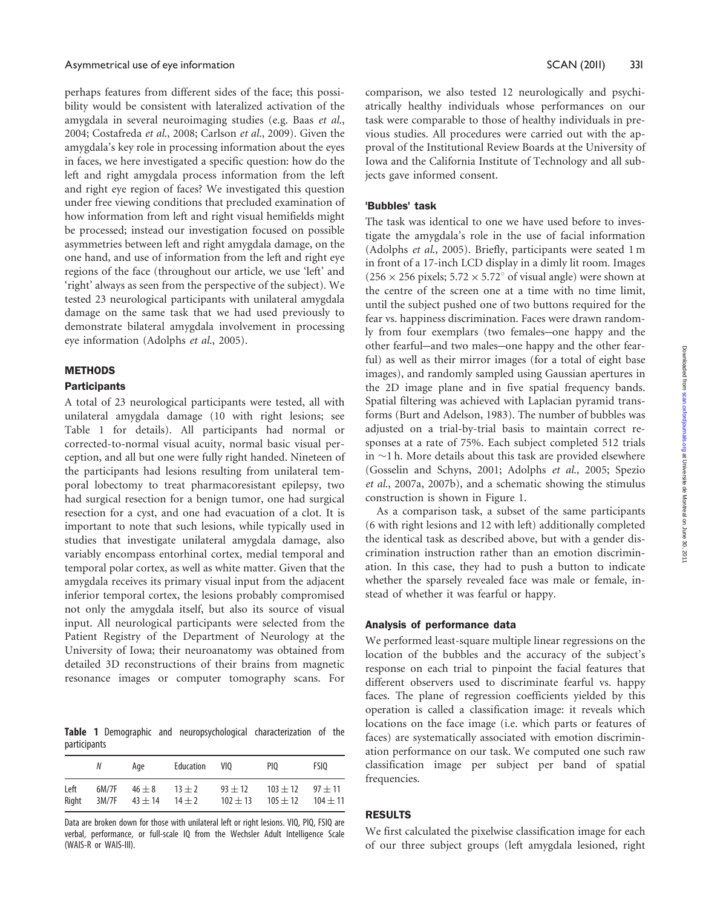### Asymmetrical use of eye information **Asymmetrical use of eye information** SCAN (2011) 331

perhaps features from different sides of the face; this possibility would be consistent with lateralized activation of the amygdala in several neuroimaging studies (e.g. Baas et al., 2004; Costafreda et al., 2008; Carlson et al., 2009). Given the amygdala's key role in processing information about the eyes in faces, we here investigated a specific question: how do the left and right amygdala process information from the left and right eye region of faces? We investigated this question under free viewing conditions that precluded examination of how information from left and right visual hemifields might be processed; instead our investigation focused on possible asymmetries between left and right amygdala damage, on the one hand, and use of information from the left and right eye regions of the face (throughout our article, we use 'left' and 'right' always as seen from the perspective of the subject). We tested 23 neurological participants with unilateral amygdala damage on the same task that we had used previously to demonstrate bilateral amygdala involvement in processing eye information (Adolphs et al., 2005).

# **METHODS**

### **Participants**

A total of 23 neurological participants were tested, all with unilateral amygdala damage (10 with right lesions; see Table 1 for details). All participants had normal or corrected-to-normal visual acuity, normal basic visual perception, and all but one were fully right handed. Nineteen of the participants had lesions resulting from unilateral temporal lobectomy to treat pharmacoresistant epilepsy, two had surgical resection for a benign tumor, one had surgical resection for a cyst, and one had evacuation of a clot. It is important to note that such lesions, while typically used in studies that investigate unilateral amygdala damage, also variably encompass entorhinal cortex, medial temporal and temporal polar cortex, as well as white matter. Given that the amygdala receives its primary visual input from the adjacent inferior temporal cortex, the lesions probably compromised not only the amygdala itself, but also its source of visual input. All neurological participants were selected from the Patient Registry of the Department of Neurology at the University of Iowa; their neuroanatomy was obtained from detailed 3D reconstructions of their brains from magnetic resonance images or computer tomography scans. For

Table 1 Demographic and neuropsychological characterization of the participants

|       | N     | Age         | Education  | VIO.         | PIO.         | FSIO.        |
|-------|-------|-------------|------------|--------------|--------------|--------------|
| Left  | 6M/7F | $46 \pm 8$  | $13 + 2$   | $93 + 12$    | $103 \pm 12$ | $97 \pm 11$  |
| Right | 3M/7F | $43 \pm 14$ | $14 \pm 2$ | $102 \pm 13$ | $105 \pm 12$ | $104 \pm 11$ |

Data are broken down for those with unilateral left or right lesions. VIQ, PIQ, FSIQ are verbal, performance, or full-scale IQ from the Wechsler Adult Intelligence Scale (WAIS-R or WAIS-III).

comparison, we also tested 12 neurologically and psychiatrically healthy individuals whose performances on our task were comparable to those of healthy individuals in previous studies. All procedures were carried out with the approval of the Institutional Review Boards at the University of Iowa and the California Institute of Technology and all subjects gave informed consent.

### 'Bubbles' task

The task was identical to one we have used before to investigate the amygdala's role in the use of facial information (Adolphs et al., 2005). Briefly, participants were seated 1 m in front of a 17-inch LCD display in a dimly lit room. Images  $(256 \times 256 \text{ pixels}; 5.72 \times 5.72^{\circ} \text{ of visual angle})$  were shown at the centre of the screen one at a time with no time limit, until the subject pushed one of two buttons required for the fear vs. happiness discrimination. Faces were drawn randomly from four exemplars (two females-one happy and the other fearful-and two males-one happy and the other fearful) as well as their mirror images (for a total of eight base images), and randomly sampled using Gaussian apertures in the 2D image plane and in five spatial frequency bands. Spatial filtering was achieved with Laplacian pyramid transforms (Burt and Adelson, 1983). The number of bubbles was adjusted on a trial-by-trial basis to maintain correct responses at a rate of 75%. Each subject completed 512 trials in  $\sim$ 1 h. More details about this task are provided elsewhere (Gosselin and Schyns, 2001; Adolphs et al., 2005; Spezio et al., 2007a, 2007b), and a schematic showing the stimulus construction is shown in Figure 1.

As a comparison task, a subset of the same participants (6 with right lesions and 12 with left) additionally completed the identical task as described above, but with a gender discrimination instruction rather than an emotion discrimination. In this case, they had to push a button to indicate whether the sparsely revealed face was male or female, instead of whether it was fearful or happy.

### Analysis of performance data

We performed least-square multiple linear regressions on the location of the bubbles and the accuracy of the subject's response on each trial to pinpoint the facial features that different observers used to discriminate fearful vs. happy faces. The plane of regression coefficients yielded by this operation is called a classification image: it reveals which locations on the face image (i.e. which parts or features of faces) are systematically associated with emotion discrimination performance on our task. We computed one such raw classification image per subject per band of spatial frequencies.

# RESULTS

We first calculated the pixelwise classification image for each of our three subject groups (left amygdala lesioned, right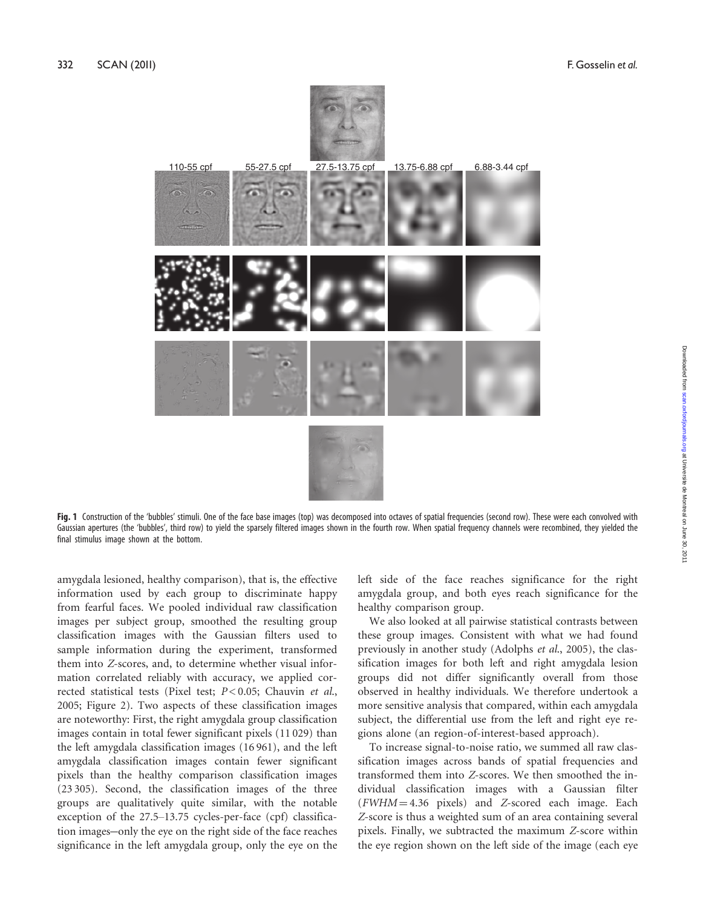

Fig. 1 Construction of the 'bubbles' stimuli. One of the face base images (top) was decomposed into octaves of spatial frequencies (second row). These were each convolved with Gaussian apertures (the 'bubbles', third row) to yield the sparsely filtered images shown in the fourth row. When spatial frequency channels were recombined, they yielded the final stimulus image shown at the bottom.

amygdala lesioned, healthy comparison), that is, the effective information used by each group to discriminate happy from fearful faces. We pooled individual raw classification images per subject group, smoothed the resulting group classification images with the Gaussian filters used to sample information during the experiment, transformed them into Z-scores, and, to determine whether visual information correlated reliably with accuracy, we applied corrected statistical tests (Pixel test;  $P < 0.05$ ; Chauvin et al., 2005; Figure 2). Two aspects of these classification images are noteworthy: First, the right amygdala group classification images contain in total fewer significant pixels (11 029) than the left amygdala classification images (16 961), and the left amygdala classification images contain fewer significant pixels than the healthy comparison classification images (23 305). Second, the classification images of the three groups are qualitatively quite similar, with the notable exception of the 27.5–13.75 cycles-per-face (cpf) classification images-only the eye on the right side of the face reaches significance in the left amygdala group, only the eye on the

left side of the face reaches significance for the right amygdala group, and both eyes reach significance for the healthy comparison group.

We also looked at all pairwise statistical contrasts between these group images. Consistent with what we had found previously in another study (Adolphs et al., 2005), the classification images for both left and right amygdala lesion groups did not differ significantly overall from those observed in healthy individuals. We therefore undertook a more sensitive analysis that compared, within each amygdala subject, the differential use from the left and right eye regions alone (an region-of-interest-based approach).

To increase signal-to-noise ratio, we summed all raw classification images across bands of spatial frequencies and transformed them into Z-scores. We then smoothed the individual classification images with a Gaussian filter  $(FWHM = 4.36$  pixels) and Z-scored each image. Each Z-score is thus a weighted sum of an area containing several pixels. Finally, we subtracted the maximum Z-score within the eye region shown on the left side of the image (each eye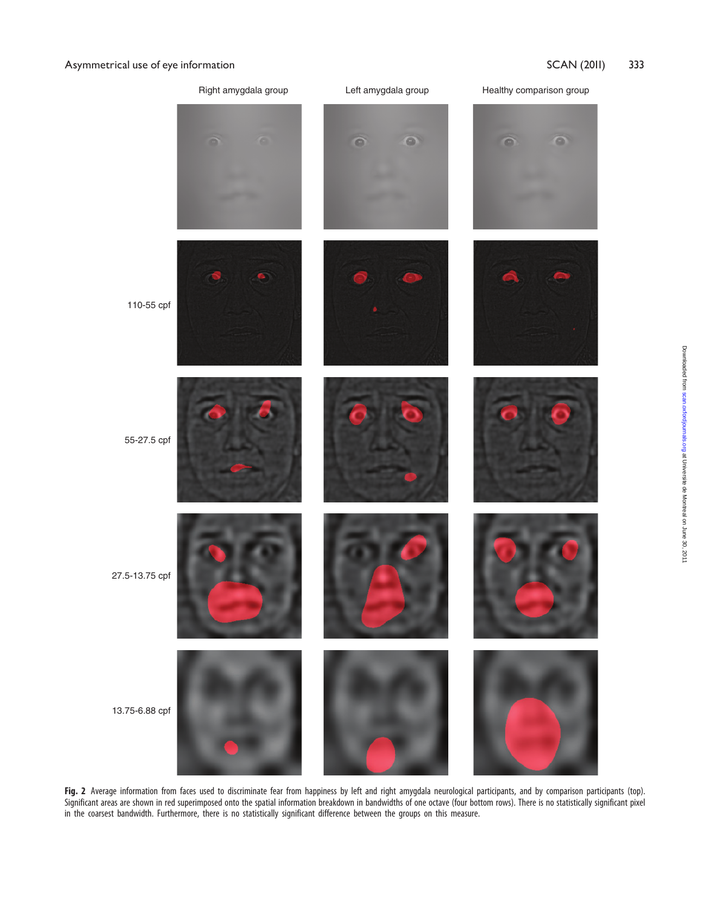# Asymmetrical use of eye information and a set of exercise  $SCAN (2011)$  333



Fig. 2 Average information from faces used to discriminate fear from happiness by left and right amygdala neurological participants, and by comparison participants (top). Significant areas are shown in red superimposed onto the spatial information breakdown in bandwidths of one octave (four bottom rows). There is no statistically significant pixel in the coarsest bandwidth. Furthermore, there is no statistically significant difference between the groups on this measure.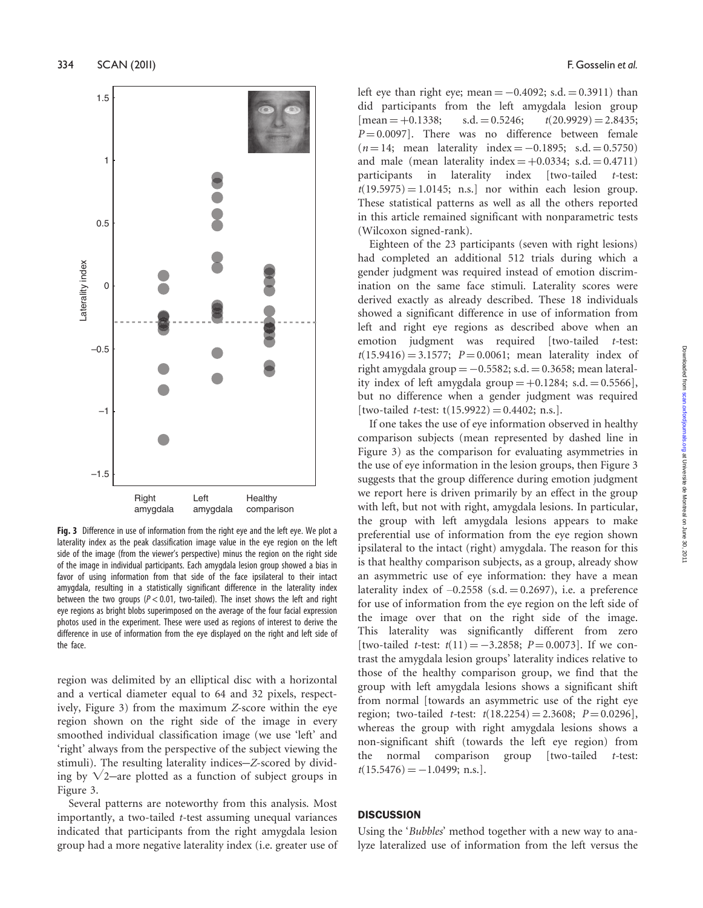

Fig. 3 Difference in use of information from the right eye and the left eye. We plot a laterality index as the peak classification image value in the eye region on the left side of the image (from the viewer's perspective) minus the region on the right side of the image in individual participants. Each amygdala lesion group showed a bias in favor of using information from that side of the face ipsilateral to their intact amygdala, resulting in a statistically significant difference in the laterality index between the two groups ( $P < 0.01$ , two-tailed). The inset shows the left and right eye regions as bright blobs superimposed on the average of the four facial expression photos used in the experiment. These were used as regions of interest to derive the difference in use of information from the eye displayed on the right and left side of the face.

region was delimited by an elliptical disc with a horizontal and a vertical diameter equal to 64 and 32 pixels, respectively, Figure 3) from the maximum Z-score within the eye region shown on the right side of the image in every smoothed individual classification image (we use 'left' and 'right' always from the perspective of the subject viewing the stimuli). The resulting laterality indices-Z-scored by dividing by  $\sqrt{2}$ -are plotted as a function of subject groups in Figure 3.

Several patterns are noteworthy from this analysis. Most importantly, a two-tailed t-test assuming unequal variances indicated that participants from the right amygdala lesion group had a more negative laterality index (i.e. greater use of left eye than right eye; mean  $= -0.4092$ ; s.d.  $= 0.3911$ ) than did participants from the left amygdala lesion group  $[mean = +0.1338; s.d. = 0.5246; t(20.9929) = 2.8435;$  $P = 0.0097$ ]. There was no difference between female  $(n = 14;$  mean laterality index  $= -0.1895;$  s.d.  $= 0.5750$ ) and male (mean laterality index  $= +0.0334$ ; s.d.  $= 0.4711$ ) participants in laterality index [two-tailed t-test:  $t(19.5975) = 1.0145$ ; n.s.] nor within each lesion group. These statistical patterns as well as all the others reported in this article remained significant with nonparametric tests (Wilcoxon signed-rank).

Eighteen of the 23 participants (seven with right lesions) had completed an additional 512 trials during which a gender judgment was required instead of emotion discrimination on the same face stimuli. Laterality scores were derived exactly as already described. These 18 individuals showed a significant difference in use of information from left and right eye regions as described above when an emotion judgment was required [two-tailed t-test:  $t(15.9416) = 3.1577$ ;  $P = 0.0061$ ; mean laterality index of right amygdala group  $= -0.5582$ ; s.d.  $= 0.3658$ ; mean laterality index of left amygdala group  $= +0.1284$ ; s.d.  $= 0.5566$ ], but no difference when a gender judgment was required [two-tailed *t*-test:  $t(15.9922) = 0.4402$ ; n.s.].

If one takes the use of eye information observed in healthy comparison subjects (mean represented by dashed line in Figure 3) as the comparison for evaluating asymmetries in the use of eye information in the lesion groups, then Figure 3 suggests that the group difference during emotion judgment we report here is driven primarily by an effect in the group with left, but not with right, amygdala lesions. In particular, the group with left amygdala lesions appears to make preferential use of information from the eye region shown ipsilateral to the intact (right) amygdala. The reason for this is that healthy comparison subjects, as a group, already show an asymmetric use of eye information: they have a mean laterality index of  $-0.2558$  (s.d.  $= 0.2697$ ), i.e. a preference for use of information from the eye region on the left side of the image over that on the right side of the image. This laterality was significantly different from zero [two-tailed *t*-test:  $t(11) = -3.2858$ ;  $P = 0.0073$ ]. If we contrast the amygdala lesion groups' laterality indices relative to those of the healthy comparison group, we find that the group with left amygdala lesions shows a significant shift from normal [towards an asymmetric use of the right eye region; two-tailed *t*-test:  $t(18.2254) = 2.3608$ ;  $P = 0.0296$ ], whereas the group with right amygdala lesions shows a non-significant shift (towards the left eye region) from the normal comparison group  $[two-tailed *t*-test:$  $t(15.5476) = -1.0499; \text{ n.s.}.$ 

# **DISCUSSION**

Using the 'Bubbles' method together with a new way to analyze lateralized use of information from the left versus the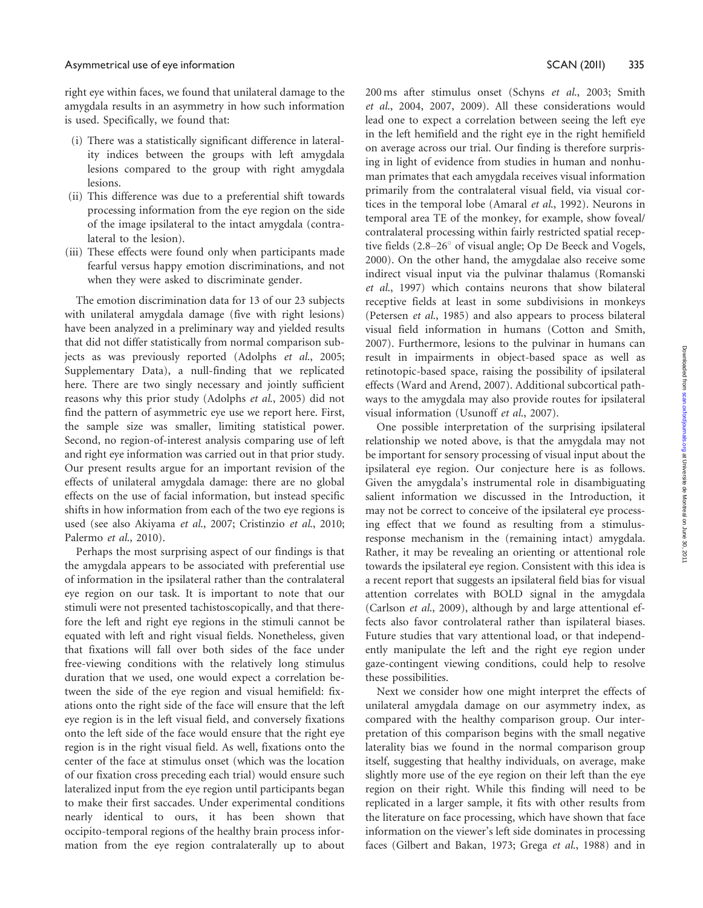### Asymmetrical use of eye information **Asymmetrical use of eye information** SCAN (2011) 335

right eye within faces, we found that unilateral damage to the amygdala results in an asymmetry in how such information is used. Specifically, we found that:

- (i) There was a statistically significant difference in laterality indices between the groups with left amygdala lesions compared to the group with right amygdala lesions.
- (ii) This difference was due to a preferential shift towards processing information from the eye region on the side of the image ipsilateral to the intact amygdala (contralateral to the lesion).
- (iii) These effects were found only when participants made fearful versus happy emotion discriminations, and not when they were asked to discriminate gender.

The emotion discrimination data for 13 of our 23 subjects with unilateral amygdala damage (five with right lesions) have been analyzed in a preliminary way and yielded results that did not differ statistically from normal comparison subjects as was previously reported (Adolphs et al., 2005; Supplementary Data), a null-finding that we replicated here. There are two singly necessary and jointly sufficient reasons why this prior study (Adolphs et al., 2005) did not find the pattern of asymmetric eye use we report here. First, the sample size was smaller, limiting statistical power. Second, no region-of-interest analysis comparing use of left and right eye information was carried out in that prior study. Our present results argue for an important revision of the effects of unilateral amygdala damage: there are no global effects on the use of facial information, but instead specific shifts in how information from each of the two eye regions is used (see also Akiyama et al., 2007; Cristinzio et al., 2010; Palermo et al., 2010).

Perhaps the most surprising aspect of our findings is that the amygdala appears to be associated with preferential use of information in the ipsilateral rather than the contralateral eye region on our task. It is important to note that our stimuli were not presented tachistoscopically, and that therefore the left and right eye regions in the stimuli cannot be equated with left and right visual fields. Nonetheless, given that fixations will fall over both sides of the face under free-viewing conditions with the relatively long stimulus duration that we used, one would expect a correlation between the side of the eye region and visual hemifield: fixations onto the right side of the face will ensure that the left eye region is in the left visual field, and conversely fixations onto the left side of the face would ensure that the right eye region is in the right visual field. As well, fixations onto the center of the face at stimulus onset (which was the location of our fixation cross preceding each trial) would ensure such lateralized input from the eye region until participants began to make their first saccades. Under experimental conditions nearly identical to ours, it has been shown that occipito-temporal regions of the healthy brain process information from the eye region contralaterally up to about 200 ms after stimulus onset (Schyns et al., 2003; Smith et al., 2004, 2007, 2009). All these considerations would lead one to expect a correlation between seeing the left eye in the left hemifield and the right eye in the right hemifield on average across our trial. Our finding is therefore surprising in light of evidence from studies in human and nonhuman primates that each amygdala receives visual information primarily from the contralateral visual field, via visual cortices in the temporal lobe (Amaral et al., 1992). Neurons in temporal area TE of the monkey, for example, show foveal/ contralateral processing within fairly restricted spatial receptive fields  $(2.8-26^{\circ}$  of visual angle; Op De Beeck and Vogels, 2000). On the other hand, the amygdalae also receive some indirect visual input via the pulvinar thalamus (Romanski et al., 1997) which contains neurons that show bilateral receptive fields at least in some subdivisions in monkeys (Petersen et al., 1985) and also appears to process bilateral visual field information in humans (Cotton and Smith, 2007). Furthermore, lesions to the pulvinar in humans can result in impairments in object-based space as well as retinotopic-based space, raising the possibility of ipsilateral effects (Ward and Arend, 2007). Additional subcortical pathways to the amygdala may also provide routes for ipsilateral visual information (Usunoff et al., 2007).

One possible interpretation of the surprising ipsilateral relationship we noted above, is that the amygdala may not be important for sensory processing of visual input about the ipsilateral eye region. Our conjecture here is as follows. Given the amygdala's instrumental role in disambiguating salient information we discussed in the Introduction, it may not be correct to conceive of the ipsilateral eye processing effect that we found as resulting from a stimulusresponse mechanism in the (remaining intact) amygdala. Rather, it may be revealing an orienting or attentional role towards the ipsilateral eye region. Consistent with this idea is a recent report that suggests an ipsilateral field bias for visual attention correlates with BOLD signal in the amygdala (Carlson et al., 2009), although by and large attentional effects also favor controlateral rather than ispilateral biases. Future studies that vary attentional load, or that independently manipulate the left and the right eye region under gaze-contingent viewing conditions, could help to resolve these possibilities.

Next we consider how one might interpret the effects of unilateral amygdala damage on our asymmetry index, as compared with the healthy comparison group. Our interpretation of this comparison begins with the small negative laterality bias we found in the normal comparison group itself, suggesting that healthy individuals, on average, make slightly more use of the eye region on their left than the eye region on their right. While this finding will need to be replicated in a larger sample, it fits with other results from the literature on face processing, which have shown that face information on the viewer's left side dominates in processing faces (Gilbert and Bakan, 1973; Grega et al., 1988) and in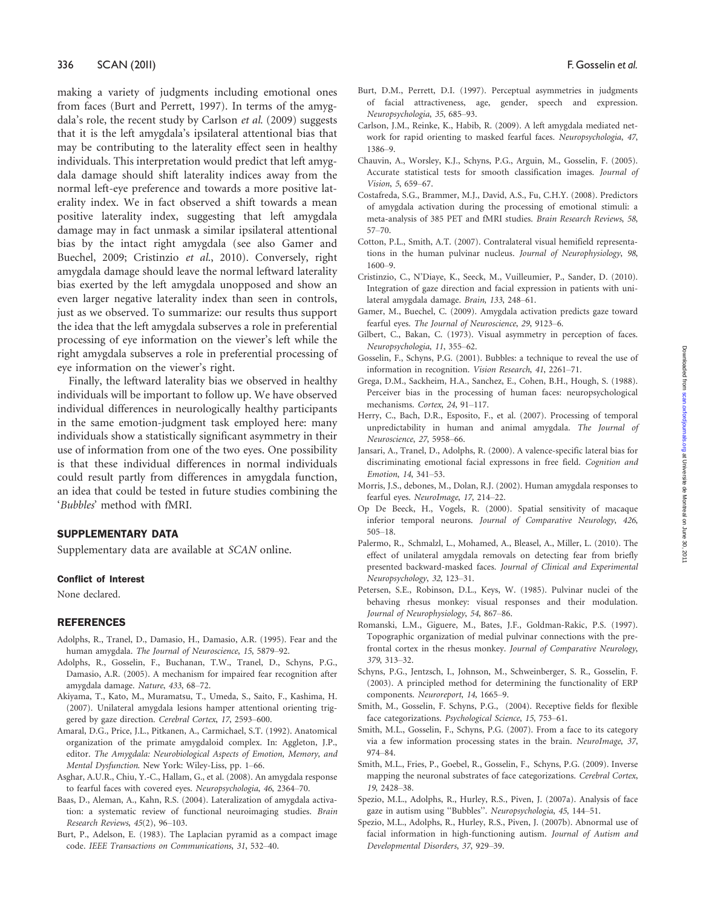making a variety of judgments including emotional ones from faces (Burt and Perrett, 1997). In terms of the amygdala's role, the recent study by Carlson et al. (2009) suggests that it is the left amygdala's ipsilateral attentional bias that may be contributing to the laterality effect seen in healthy individuals. This interpretation would predict that left amygdala damage should shift laterality indices away from the normal left-eye preference and towards a more positive laterality index. We in fact observed a shift towards a mean positive laterality index, suggesting that left amygdala damage may in fact unmask a similar ipsilateral attentional bias by the intact right amygdala (see also Gamer and Buechel, 2009; Cristinzio et al., 2010). Conversely, right amygdala damage should leave the normal leftward laterality bias exerted by the left amygdala unopposed and show an even larger negative laterality index than seen in controls, just as we observed. To summarize: our results thus support the idea that the left amygdala subserves a role in preferential processing of eye information on the viewer's left while the right amygdala subserves a role in preferential processing of eye information on the viewer's right.

Finally, the leftward laterality bias we observed in healthy individuals will be important to follow up. We have observed individual differences in neurologically healthy participants in the same emotion-judgment task employed here: many individuals show a statistically significant asymmetry in their use of information from one of the two eyes. One possibility is that these individual differences in normal individuals could result partly from differences in amygdala function, an idea that could be tested in future studies combining the 'Bubbles' method with fMRI.

# SUPPLEMENTARY DATA

Supplementary data are available at SCAN online.

# Conflict of Interest

None declared.

### REFERENCES

- Adolphs, R., Tranel, D., Damasio, H., Damasio, A.R. (1995). Fear and the human amygdala. The Journal of Neuroscience, 15, 5879–92.
- Adolphs, R., Gosselin, F., Buchanan, T.W., Tranel, D., Schyns, P.G., Damasio, A.R. (2005). A mechanism for impaired fear recognition after amygdala damage. Nature, 433, 68–72.
- Akiyama, T., Kato, M., Muramatsu, T., Umeda, S., Saito, F., Kashima, H. (2007). Unilateral amygdala lesions hamper attentional orienting triggered by gaze direction. Cerebral Cortex, 17, 2593–600.
- Amaral, D.G., Price, J.L., Pitkanen, A., Carmichael, S.T. (1992). Anatomical organization of the primate amygdaloid complex. In: Aggleton, J.P., editor. The Amygdala: Neurobiological Aspects of Emotion, Memory, and Mental Dysfunction. New York: Wiley-Liss, pp. 1–66.
- Asghar, A.U.R., Chiu, Y.-C., Hallam, G., et al. (2008). An amygdala response to fearful faces with covered eyes. Neuropsychologia, 46, 2364–70.
- Baas, D., Aleman, A., Kahn, R.S. (2004). Lateralization of amygdala activation: a systematic review of functional neuroimaging studies. Brain Research Reviews, 45(2), 96–103.
- Burt, P., Adelson, E. (1983). The Laplacian pyramid as a compact image code. IEEE Transactions on Communications, 31, 532–40.
- Burt, D.M., Perrett, D.I. (1997). Perceptual asymmetries in judgments of facial attractiveness, age, gender, speech and expression. Neuropsychologia, 35, 685–93.
- Carlson, J.M., Reinke, K., Habib, R. (2009). A left amygdala mediated network for rapid orienting to masked fearful faces. Neuropsychologia, 47, 1386–9.
- Chauvin, A., Worsley, K.J., Schyns, P.G., Arguin, M., Gosselin, F. (2005). Accurate statistical tests for smooth classification images. Journal of Vision, 5, 659–67.
- Costafreda, S.G., Brammer, M.J., David, A.S., Fu, C.H.Y. (2008). Predictors of amygdala activation during the processing of emotional stimuli: a meta-analysis of 385 PET and fMRI studies. Brain Research Reviews, 58, 57–70.
- Cotton, P.L., Smith, A.T. (2007). Contralateral visual hemifield representations in the human pulvinar nucleus. Journal of Neurophysiology, 98, 1600–9.
- Cristinzio, C., N'Diaye, K., Seeck, M., Vuilleumier, P., Sander, D. (2010). Integration of gaze direction and facial expression in patients with unilateral amygdala damage. Brain, 133, 248–61.
- Gamer, M., Buechel, C. (2009). Amygdala activation predicts gaze toward fearful eyes. The Journal of Neuroscience, 29, 9123–6.
- Gilbert, C., Bakan, C. (1973). Visual asymmetry in perception of faces. Neuropsychologia, 11, 355–62.
- Gosselin, F., Schyns, P.G. (2001). Bubbles: a technique to reveal the use of information in recognition. Vision Research, 41, 2261–71.
- Grega, D.M., Sackheim, H.A., Sanchez, E., Cohen, B.H., Hough, S. (1988). Perceiver bias in the processing of human faces: neuropsychological mechanisms. Cortex, 24, 91–117.
- Herry, C., Bach, D.R., Esposito, F., et al. (2007). Processing of temporal unpredictability in human and animal amygdala. The Journal of Neuroscience, 27, 5958–66.
- Jansari, A., Tranel, D., Adolphs, R. (2000). A valence-specific lateral bias for discriminating emotional facial expressons in free field. Cognition and Emotion, 14, 341–53.
- Morris, J.S., debones, M., Dolan, R.J. (2002). Human amygdala responses to fearful eyes. NeuroImage, 17, 214–22.
- Op De Beeck, H., Vogels, R. (2000). Spatial sensitivity of macaque inferior temporal neurons. Journal of Comparative Neurology, 426, 505–18.
- Palermo, R., Schmalzl, L., Mohamed, A., Bleasel, A., Miller, L. (2010). The effect of unilateral amygdala removals on detecting fear from briefly presented backward-masked faces. Journal of Clinical and Experimental Neuropsychology, 32, 123–31.
- Petersen, S.E., Robinson, D.L., Keys, W. (1985). Pulvinar nuclei of the behaving rhesus monkey: visual responses and their modulation. Journal of Neurophysiology, 54, 867–86.
- Romanski, L.M., Giguere, M., Bates, J.F., Goldman-Rakic, P.S. (1997). Topographic organization of medial pulvinar connections with the prefrontal cortex in the rhesus monkey. Journal of Comparative Neurology, 379, 313–32.
- Schyns, P.G., Jentzsch, I., Johnson, M., Schweinberger, S. R., Gosselin, F. (2003). A principled method for determining the functionality of ERP components. Neuroreport, 14, 1665–9.
- Smith, M., Gosselin, F. Schyns, P.G., (2004). Receptive fields for flexible face categorizations. Psychological Science, 15, 753–61.
- Smith, M.L., Gosselin, F., Schyns, P.G. (2007). From a face to its category via a few information processing states in the brain. NeuroImage, 37, 974–84.
- Smith, M.L., Fries, P., Goebel, R., Gosselin, F., Schyns, P.G. (2009). Inverse mapping the neuronal substrates of face categorizations. Cerebral Cortex, 19, 2428–38.
- Spezio, M.L., Adolphs, R., Hurley, R.S., Piven, J. (2007a). Analysis of face gaze in autism using ''Bubbles''. Neuropsychologia, 45, 144–51.
- Spezio, M.L., Adolphs, R., Hurley, R.S., Piven, J. (2007b). Abnormal use of facial information in high-functioning autism. Journal of Autism and Developmental Disorders, 37, 929–39.